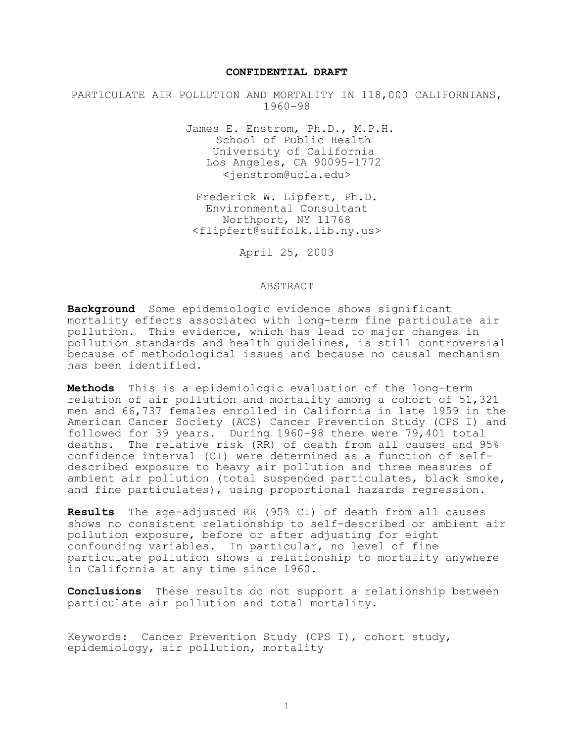#### **CONFIDENTIAL DRAFT**

PARTICULATE AIR POLLUTION AND MORTALITY IN 118,000 CALIFORNIANS, 1960-98

> James E. Enstrom, Ph.D., M.P.H. School of Public Health University of California Los Angeles, CA 90095-1772 <jenstrom@ucla.edu>

Frederick W. Lipfert, Ph.D. Environmental Consultant Northport, NY 11768 <flipfert@suffolk.lib.ny.us>

April 25, 2003

#### ABSTRACT

**Background** Some epidemiologic evidence shows significant mortality effects associated with long-term fine particulate air pollution. This evidence, which has lead to major changes in pollution standards and health guidelines, is still controversial because of methodological issues and because no causal mechanism has been identified.

**Methods** This is a epidemiologic evaluation of the long-term relation of air pollution and mortality among a cohort of 51,321 men and 66,737 females enrolled in California in late 1959 in the American Cancer Society (ACS) Cancer Prevention Study (CPS I) and followed for 39 years. During 1960-98 there were 79,401 total deaths. The relative risk (RR) of death from all causes and 95% confidence interval (CI) were determined as a function of selfdescribed exposure to heavy air pollution and three measures of ambient air pollution (total suspended particulates, black smoke, and fine particulates), using proportional hazards regression.

**Results** The age-adjusted RR (95% CI) of death from all causes shows no consistent relationship to self-described or ambient air pollution exposure, before or after adjusting for eight confounding variables. In particular, no level of fine particulate pollution shows a relationship to mortality anywhere in California at any time since 1960.

**Conclusions** These results do not support a relationship between particulate air pollution and total mortality.

Keywords: Cancer Prevention Study (CPS I), cohort study, epidemiology, air pollution, mortality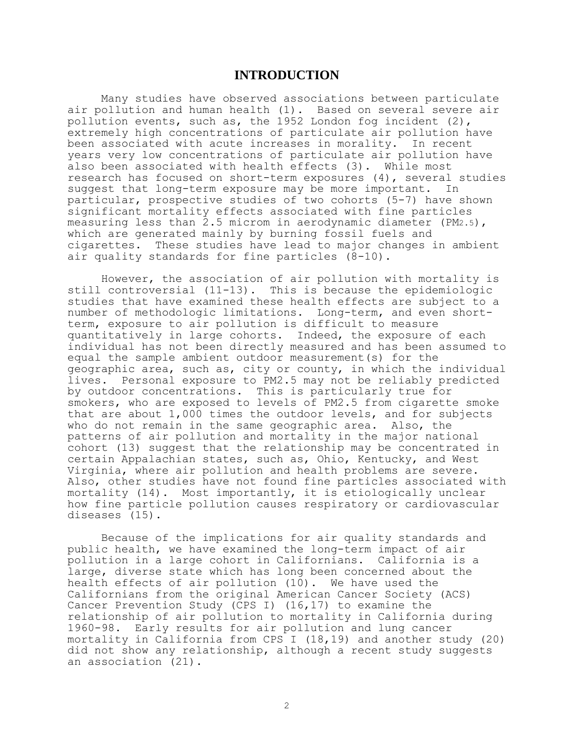### **INTRODUCTION**

Many studies have observed associations between particulate air pollution and human health (1). Based on several severe air pollution events, such as, the 1952 London fog incident (2), extremely high concentrations of particulate air pollution have been associated with acute increases in morality. In recent years very low concentrations of particulate air pollution have also been associated with health effects (3). While most research has focused on short-term exposures (4), several studies suggest that long-term exposure may be more important. In particular, prospective studies of two cohorts (5-7) have shown significant mortality effects associated with fine particles measuring less than  $2.5$  microm in aerodynamic diameter (PM2.5), which are generated mainly by burning fossil fuels and cigarettes. These studies have lead to major changes in ambient air quality standards for fine particles (8-10).

However, the association of air pollution with mortality is still controversial (11-13). This is because the epidemiologic studies that have examined these health effects are subject to a number of methodologic limitations. Long-term, and even shortterm, exposure to air pollution is difficult to measure quantitatively in large cohorts. Indeed, the exposure of each individual has not been directly measured and has been assumed to equal the sample ambient outdoor measurement(s) for the geographic area, such as, city or county, in which the individual lives. Personal exposure to PM2.5 may not be reliably predicted by outdoor concentrations. This is particularly true for smokers, who are exposed to levels of PM2.5 from cigarette smoke that are about 1,000 times the outdoor levels, and for subjects who do not remain in the same geographic area. Also, the patterns of air pollution and mortality in the major national cohort (13) suggest that the relationship may be concentrated in certain Appalachian states, such as, Ohio, Kentucky, and West Virginia, where air pollution and health problems are severe. Also, other studies have not found fine particles associated with mortality (14). Most importantly, it is etiologically unclear how fine particle pollution causes respiratory or cardiovascular diseases (15).

Because of the implications for air quality standards and public health, we have examined the long-term impact of air pollution in a large cohort in Californians. California is a large, diverse state which has long been concerned about the health effects of air pollution (10). We have used the Californians from the original American Cancer Society (ACS) Cancer Prevention Study (CPS I) (16,17) to examine the relationship of air pollution to mortality in California during 1960-98. Early results for air pollution and lung cancer mortality in California from CPS I (18,19) and another study (20) did not show any relationship, although a recent study suggests an association (21).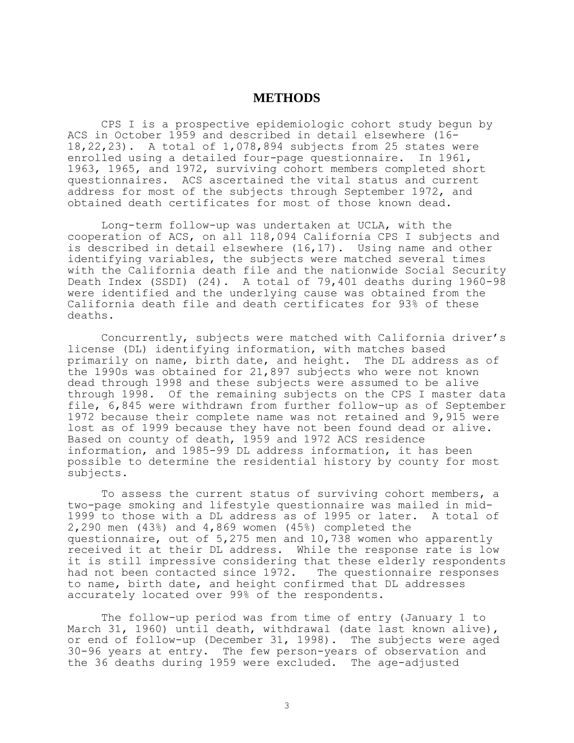# **METHODS**

CPS I is a prospective epidemiologic cohort study begun by ACS in October 1959 and described in detail elsewhere (16- 18,22,23). A total of 1,078,894 subjects from 25 states were enrolled using a detailed four-page questionnaire. In 1961, 1963, 1965, and 1972, surviving cohort members completed short questionnaires. ACS ascertained the vital status and current address for most of the subjects through September 1972, and obtained death certificates for most of those known dead.

Long-term follow-up was undertaken at UCLA, with the cooperation of ACS, on all 118,094 California CPS I subjects and is described in detail elsewhere (16,17). Using name and other identifying variables, the subjects were matched several times with the California death file and the nationwide Social Security Death Index (SSDI) (24). A total of 79,401 deaths during 1960-98 were identified and the underlying cause was obtained from the California death file and death certificates for 93% of these deaths.

Concurrently, subjects were matched with California driver's license (DL) identifying information, with matches based primarily on name, birth date, and height. The DL address as of the 1990s was obtained for 21,897 subjects who were not known dead through 1998 and these subjects were assumed to be alive through 1998. Of the remaining subjects on the CPS I master data file, 6,845 were withdrawn from further follow-up as of September 1972 because their complete name was not retained and 9,915 were lost as of 1999 because they have not been found dead or alive. Based on county of death, 1959 and 1972 ACS residence information, and 1985-99 DL address information, it has been possible to determine the residential history by county for most subjects.

To assess the current status of surviving cohort members, a two-page smoking and lifestyle questionnaire was mailed in mid-1999 to those with a DL address as of 1995 or later. A total of 2,290 men (43%) and 4,869 women (45%) completed the questionnaire, out of 5,275 men and 10,738 women who apparently received it at their DL address. While the response rate is low it is still impressive considering that these elderly respondents had not been contacted since 1972. The questionnaire responses to name, birth date, and height confirmed that DL addresses accurately located over 99% of the respondents.

The follow-up period was from time of entry (January 1 to March 31, 1960) until death, withdrawal (date last known alive), or end of follow-up (December 31, 1998). The subjects were aged 30-96 years at entry. The few person-years of observation and the 36 deaths during 1959 were excluded. The age-adjusted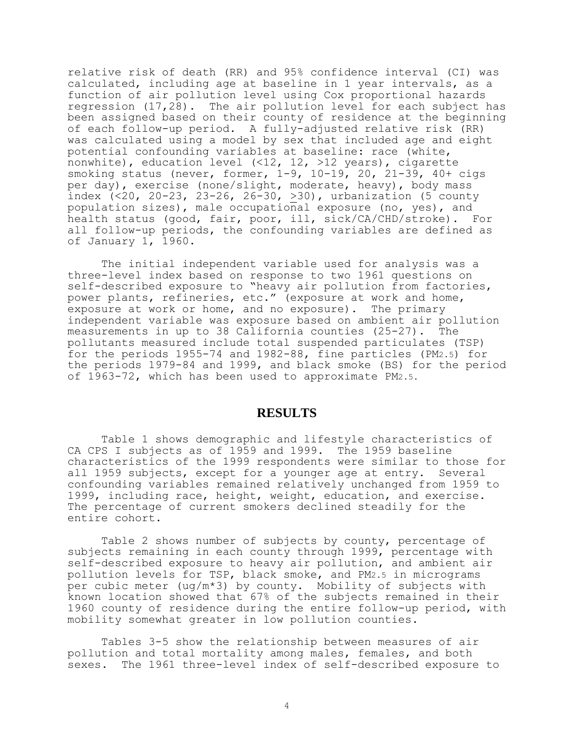relative risk of death (RR) and 95% confidence interval (CI) was calculated, including age at baseline in 1 year intervals, as a function of air pollution level using Cox proportional hazards regression (17,28). The air pollution level for each subject has been assigned based on their county of residence at the beginning of each follow-up period. A fully-adjusted relative risk (RR) was calculated using a model by sex that included age and eight potential confounding variab1es at baseline: race (white, nonwhite), education level (<12, 12, >12 years), cigarette smoking status (never, former, 1-9, 10-19, 20, 21-39, 40+ cigs per day), exercise (none/slight, moderate, heavy), body mass index  $($ <20, 20-23, 23-26, 26-30, >30), urbanization (5 county population sizes), male occupational exposure (no, yes), and health status (good, fair, poor, ill, sick/CA/CHD/stroke). For all follow-up periods, the confounding variables are defined as of January 1, 1960.

The initial independent variable used for analysis was a three-level index based on response to two 1961 questions on self-described exposure to "heavy air pollution from factories, power plants, refineries, etc." (exposure at work and home, exposure at work or home, and no exposure). The primary independent variable was exposure based on ambient air pollution measurements in up to 38 California counties (25-27). The pollutants measured include total suspended particulates (TSP) for the periods 1955-74 and 1982-88, fine particles (PM2.5) for the periods 1979-84 and 1999, and black smoke (BS) for the period of 1963-72, which has been used to approximate PM2.5.

# **RESULTS**

Table 1 shows demographic and lifestyle characteristics of CA CPS I subjects as of 1959 and 1999. The 1959 baseline characteristics of the 1999 respondents were similar to those for all 1959 subjects, except for a younger age at entry. Several confounding variables remained relatively unchanged from 1959 to 1999, including race, height, weight, education, and exercise. The percentage of current smokers declined steadily for the entire cohort.

Table 2 shows number of subjects by county, percentage of subjects remaining in each county through 1999, percentage with self-described exposure to heavy air pollution, and ambient air pollution levels for TSP, black smoke, and PM2.5 in micrograms per cubic meter (ug/m\*3) by county. Mobility of subjects with known location showed that 67% of the subjects remained in their 1960 county of residence during the entire follow-up period, with mobility somewhat greater in low pollution counties.

Tables 3-5 show the relationship between measures of air pollution and total mortality among males, females, and both sexes. The 1961 three-level index of self-described exposure to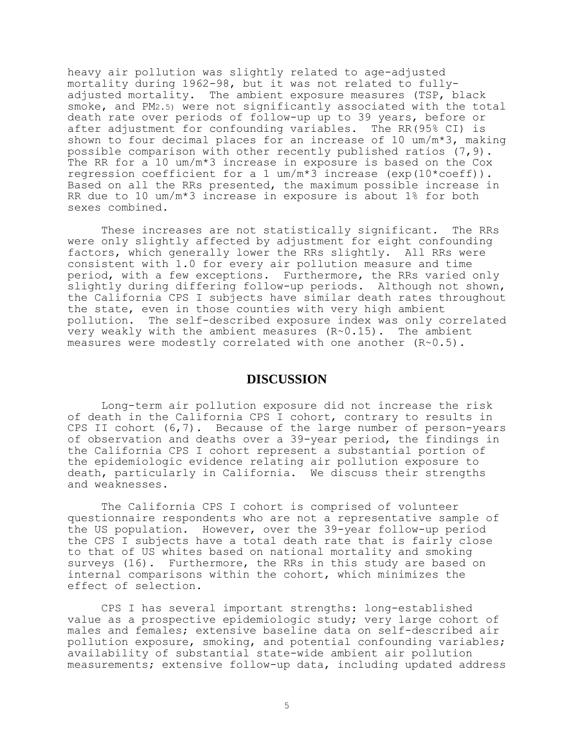heavy air pollution was slightly related to age-adjusted mortality during 1962-98, but it was not related to fullyadjusted mortality. The ambient exposure measures (TSP, black smoke, and PM2.5) were not significantly associated with the total death rate over periods of follow-up up to 39 years, before or after adjustment for confounding variables. The RR(95% CI) is shown to four decimal places for an increase of 10  $um/m*3$ , making possible comparison with other recently published ratios (7,9). The RR for a 10 um/m\*3 increase in exposure is based on the Cox regression coefficient for a 1 um/m\*3 increase (exp(10\*coeff)). Based on all the RRs presented, the maximum possible increase in RR due to 10 um/m\*3 increase in exposure is about 1% for both sexes combined.

These increases are not statistically significant. The RRs were only slightly affected by adjustment for eight confounding factors, which generally lower the RRs slightly. All RRs were consistent with 1.0 for every air pollution measure and time period, with a few exceptions. Furthermore, the RRs varied only slightly during differing follow-up periods. Although not shown, the California CPS I subjects have similar death rates throughout the state, even in those counties with very high ambient pollution. The self-described exposure index was only correlated very weakly with the ambient measures (R~0.15). The ambient measures were modestly correlated with one another (R~0.5).

# **DISCUSSION**

Long-term air pollution exposure did not increase the risk of death in the California CPS I cohort, contrary to results in CPS II cohort (6,7). Because of the large number of person-years of observation and deaths over a 39-year period, the findings in the California CPS I cohort represent a substantial portion of the epidemiologic evidence relating air pollution exposure to death, particularly in California. We discuss their strengths and weaknesses.

The California CPS I cohort is comprised of volunteer questionnaire respondents who are not a representative sample of the US population. However, over the 39-year follow-up period the CPS I subjects have a total death rate that is fairly close to that of US whites based on national mortality and smoking surveys (16). Furthermore, the RRs in this study are based on internal comparisons within the cohort, which minimizes the effect of selection.

CPS I has several important strengths: long-established value as a prospective epidemiologic study; very large cohort of males and females; extensive baseline data on self-described air pollution exposure, smoking, and potential confounding variables; availability of substantial state-wide ambient air pollution measurements; extensive follow-up data, including updated address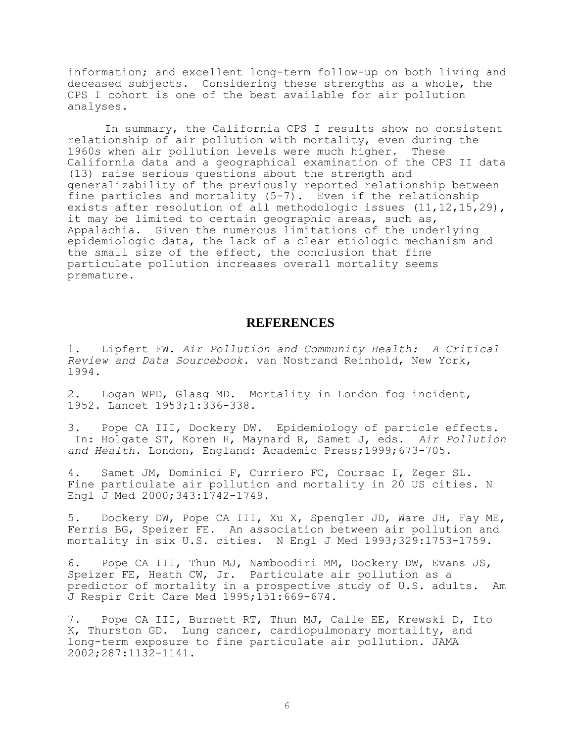information; and excellent long-term follow-up on both living and deceased subjects. Considering these strengths as a whole, the CPS I cohort is one of the best available for air pollution analyses.

 In summary, the California CPS I results show no consistent relationship of air pollution with mortality, even during the 1960s when air pollution levels were much higher. These California data and a geographical examination of the CPS II data (13) raise serious questions about the strength and generalizability of the previously reported relationship between fine particles and mortality (5-7). Even if the relationship exists after resolution of all methodologic issues (11,12,15,29), it may be limited to certain geographic areas, such as, Appalachia. Given the numerous limitations of the underlying epidemiologic data, the lack of a clear etiologic mechanism and the small size of the effect, the conclusion that fine particulate pollution increases overall mortality seems premature.

## **REFERENCES**

1. Lipfert FW. *Air Pollution and Community Health: A Critical Review and Data Sourcebook.* van Nostrand Reinhold, New York, 1994.

2. Logan WPD, Glasg MD. Mortality in London fog incident, 1952. Lancet 1953;1:336-338.

3. Pope CA III, Dockery DW. Epidemiology of particle effects. In: Holgate ST, Koren H, Maynard R, Samet J, eds. *Air Pollution and Health*. London, England: Academic Press;1999;673-705.

4. Samet JM, Dominici F, Curriero FC, Coursac I, Zeger SL. Fine particulate air pollution and mortality in 20 US cities. N Engl J Med 2000;343:1742-1749.

5. Dockery DW, Pope CA III, Xu X, Spengler JD, Ware JH, Fay ME, Ferris BG, Speizer FE. An association between air pollution and mortality in six U.S. cities. N Engl J Med 1993;329:1753-1759.

6. Pope CA III, Thun MJ, Namboodiri MM, Dockery DW, Evans JS, Speizer FE, Heath CW, Jr. Particulate air pollution as a predictor of mortality in a prospective study of U.S. adults. Am J Respir Crit Care Med 1995;151:669-674.

7. Pope CA III, Burnett RT, Thun MJ, Calle EE, Krewski D, Ito K, Thurston GD. Lung cancer, cardiopulmonary mortality, and long-term exposure to fine particulate air pollution. JAMA 2002;287:1132-1141.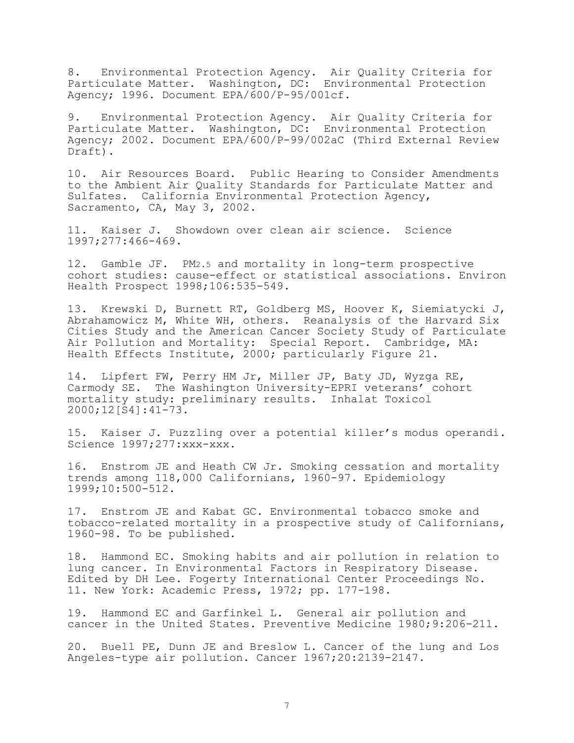8. Environmental Protection Agency. Air Quality Criteria for Particulate Matter. Washington, DC: Environmental Protection Agency; 1996. Document EPA/600/P-95/001cf.

9. Environmental Protection Agency. Air Quality Criteria for Particulate Matter. Washington, DC: Environmental Protection Agency; 2002. Document EPA/600/P-99/002aC (Third External Review Draft).

10. Air Resources Board. Public Hearing to Consider Amendments to the Ambient Air Quality Standards for Particulate Matter and Sulfates. California Environmental Protection Agency, Sacramento, CA, May 3, 2002.

11. Kaiser J. Showdown over clean air science. Science 1997;277:466-469.

12. Gamble JF. PM2.5 and mortality in long-term prospective cohort studies: cause-effect or statistical associations. Environ Health Prospect 1998;106:535-549.

13. Krewski D, Burnett RT, Goldberg MS, Hoover K, Siemiatycki J, Abrahamowicz M, White WH, others. Reanalysis of the Harvard Six Cities Study and the American Cancer Society Study of Particulate Air Pollution and Mortality: Special Report. Cambridge, MA: Health Effects Institute, 2000; particularly Figure 21.

14. Lipfert FW, Perry HM Jr, Miller JP, Baty JD, Wyzga RE, Carmody SE. The Washington University-EPRI veterans' cohort mortality study: preliminary results. Inhalat Toxicol 2000;12[S4]:41-73.

15. Kaiser J. Puzzling over a potential killer's modus operandi. Science 1997;277:xxx-xxx.

16. Enstrom JE and Heath CW Jr. Smoking cessation and mortality trends among 118,000 Californians, 1960-97. Epidemiology 1999;10:500-512.

17. Enstrom JE and Kabat GC. Environmental tobacco smoke and tobacco-related mortality in a prospective study of Californians, 1960-98. To be published.

18. Hammond EC. Smoking habits and air pollution in relation to lung cancer. In Environmental Factors in Respiratory Disease. Edited by DH Lee. Fogerty International Center Proceedings No. 11. New York: Academic Press, 1972; pp. 177-198.

19. Hammond EC and Garfinkel L. General air pollution and cancer in the United States. Preventive Medicine 1980;9:206-211.

20. Buell PE, Dunn JE and Breslow L. Cancer of the lung and Los Angeles-type air pollution. Cancer 1967;20:2139-2147.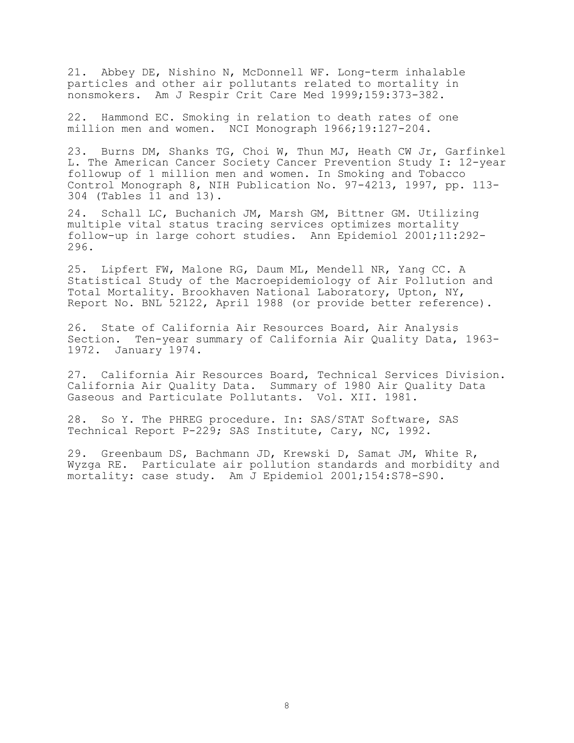21. Abbey DE, Nishino N, McDonnell WF. Long-term inhalable particles and other air pollutants related to mortality in nonsmokers. Am J Respir Crit Care Med 1999;159:373-382.

22. Hammond EC. Smoking in relation to death rates of one million men and women. NCI Monograph 1966;19:127-204.

23. Burns DM, Shanks TG, Choi W, Thun MJ, Heath CW Jr, Garfinkel L. The American Cancer Society Cancer Prevention Study I: 12-year followup of 1 million men and women. In Smoking and Tobacco Control Monograph 8, NIH Publication No. 97-4213, 1997, pp. 113- 304 (Tables 11 and 13).

24. Schall LC, Buchanich JM, Marsh GM, Bittner GM. Utilizing multiple vital status tracing services optimizes mortality follow-up in large cohort studies. Ann Epidemiol 2001;11:292- 296.

25. Lipfert FW, Malone RG, Daum ML, Mendell NR, Yang CC. A Statistical Study of the Macroepidemiology of Air Pollution and Total Mortality. Brookhaven National Laboratory, Upton, NY, Report No. BNL 52122, April 1988 (or provide better reference).

26. State of California Air Resources Board, Air Analysis Section. Ten-year summary of California Air Quality Data, 1963- 1972. January 1974.

27. California Air Resources Board, Technical Services Division. California Air Quality Data. Summary of 1980 Air Quality Data Gaseous and Particulate Pollutants. Vol. XII. 1981.

28. So Y. The PHREG procedure. In: SAS/STAT Software, SAS Technical Report P-229; SAS Institute, Cary, NC, 1992.

29. Greenbaum DS, Bachmann JD, Krewski D, Samat JM, White R, Wyzga RE. Particulate air pollution standards and morbidity and mortality: case study. Am J Epidemiol 2001;154:S78-S90.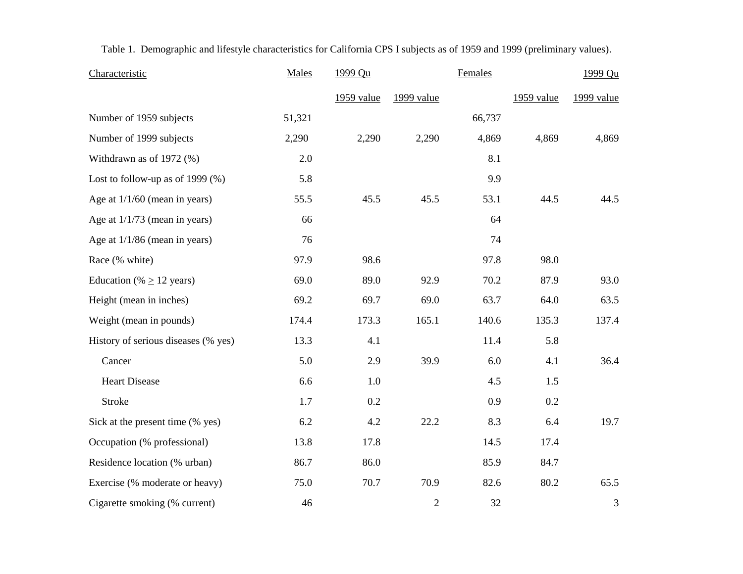| Characteristic                      | Males  | 1999 Qu    |                | Females |            | 1999 Qu    |
|-------------------------------------|--------|------------|----------------|---------|------------|------------|
|                                     |        | 1959 value | 1999 value     |         | 1959 value | 1999 value |
| Number of 1959 subjects             | 51,321 |            |                | 66,737  |            |            |
| Number of 1999 subjects             | 2,290  | 2,290      | 2,290          | 4,869   | 4,869      | 4,869      |
| Withdrawn as of 1972 (%)            | 2.0    |            |                | 8.1     |            |            |
| Lost to follow-up as of 1999 $(\%)$ | 5.8    |            |                | 9.9     |            |            |
| Age at $1/1/60$ (mean in years)     | 55.5   | 45.5       | 45.5           | 53.1    | 44.5       | 44.5       |
| Age at $1/1/73$ (mean in years)     | 66     |            |                | 64      |            |            |
| Age at $1/1/86$ (mean in years)     | 76     |            |                | 74      |            |            |
| Race (% white)                      | 97.9   | 98.6       |                | 97.8    | 98.0       |            |
| Education (% $\geq$ 12 years)       | 69.0   | 89.0       | 92.9           | 70.2    | 87.9       | 93.0       |
| Height (mean in inches)             | 69.2   | 69.7       | 69.0           | 63.7    | 64.0       | 63.5       |
| Weight (mean in pounds)             | 174.4  | 173.3      | 165.1          | 140.6   | 135.3      | 137.4      |
| History of serious diseases (% yes) | 13.3   | 4.1        |                | 11.4    | 5.8        |            |
| Cancer                              | 5.0    | 2.9        | 39.9           | 6.0     | 4.1        | 36.4       |
| <b>Heart Disease</b>                | 6.6    | 1.0        |                | 4.5     | 1.5        |            |
| <b>Stroke</b>                       | 1.7    | 0.2        |                | 0.9     | 0.2        |            |
| Sick at the present time (% yes)    | 6.2    | 4.2        | 22.2           | 8.3     | 6.4        | 19.7       |
| Occupation (% professional)         | 13.8   | 17.8       |                | 14.5    | 17.4       |            |
| Residence location (% urban)        | 86.7   | 86.0       |                | 85.9    | 84.7       |            |
| Exercise (% moderate or heavy)      | 75.0   | 70.7       | 70.9           | 82.6    | 80.2       | 65.5       |
| Cigarette smoking (% current)       | 46     |            | $\overline{2}$ | 32      |            | 3          |

Table 1. Demographic and lifestyle characteristics for California CPS I subjects as of 1959 and 1999 (preliminary values).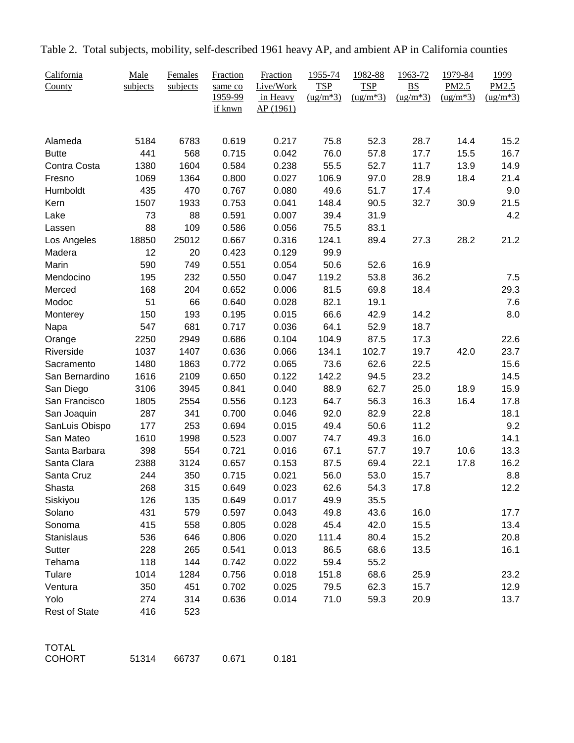| California<br>County | Male<br>subjects | Females<br>subjects | Fraction<br>same co<br>1959-99<br>if knwn | Fraction<br>Live/Work<br>in Heavy<br>AP(1961) | 1955-74<br><b>TSP</b><br>$(ug/m*3)$ | 1982-88<br><b>TSP</b><br>$\frac{\text{(ug/m*3)}}{}$ | 1963-72<br><b>BS</b><br>$(ug/m*3)$ | 1979-84<br>PM2.5<br>$\frac{\text{(ug/m*3)}}{}$ | 1999<br>PM2.5<br>$(ug/m*3)$ |
|----------------------|------------------|---------------------|-------------------------------------------|-----------------------------------------------|-------------------------------------|-----------------------------------------------------|------------------------------------|------------------------------------------------|-----------------------------|
|                      |                  |                     |                                           |                                               |                                     |                                                     |                                    |                                                |                             |
| Alameda              | 5184             | 6783                | 0.619                                     | 0.217                                         | 75.8                                | 52.3                                                | 28.7                               | 14.4                                           | 15.2                        |
| <b>Butte</b>         | 441              | 568                 | 0.715                                     | 0.042                                         | 76.0                                | 57.8                                                | 17.7                               | 15.5                                           | 16.7                        |
| Contra Costa         | 1380             | 1604                | 0.584                                     | 0.238                                         | 55.5                                | 52.7                                                | 11.7                               | 13.9                                           | 14.9                        |
| Fresno               | 1069             | 1364                | 0.800                                     | 0.027                                         | 106.9                               | 97.0                                                | 28.9                               | 18.4                                           | 21.4                        |
| Humboldt             | 435              | 470                 | 0.767                                     | 0.080                                         | 49.6                                | 51.7                                                | 17.4                               |                                                | 9.0                         |
| Kern                 | 1507             | 1933                | 0.753                                     | 0.041                                         | 148.4                               | 90.5                                                | 32.7                               | 30.9                                           | 21.5                        |
| Lake                 | 73               | 88                  | 0.591                                     | 0.007                                         | 39.4                                | 31.9                                                |                                    |                                                | 4.2                         |
| Lassen               | 88               | 109                 | 0.586                                     | 0.056                                         | 75.5                                | 83.1                                                |                                    |                                                |                             |
| Los Angeles          | 18850            | 25012               | 0.667                                     | 0.316                                         | 124.1                               | 89.4                                                | 27.3                               | 28.2                                           | 21.2                        |
| Madera               | 12               | 20                  | 0.423                                     | 0.129                                         | 99.9                                |                                                     |                                    |                                                |                             |
| Marin                | 590              | 749                 | 0.551                                     | 0.054                                         | 50.6                                | 52.6                                                | 16.9                               |                                                |                             |
| Mendocino<br>Merced  | 195              | 232                 | 0.550                                     | 0.047                                         | 119.2                               | 53.8                                                | 36.2                               |                                                | 7.5                         |
| Modoc                | 168<br>51        | 204                 | 0.652                                     | 0.006                                         | 81.5<br>82.1                        | 69.8<br>19.1                                        | 18.4                               |                                                | 29.3                        |
|                      | 150              | 66<br>193           | 0.640<br>0.195                            | 0.028<br>0.015                                | 66.6                                | 42.9                                                |                                    |                                                | 7.6<br>8.0                  |
| Monterey<br>Napa     | 547              | 681                 | 0.717                                     | 0.036                                         | 64.1                                | 52.9                                                | 14.2<br>18.7                       |                                                |                             |
| Orange               | 2250             | 2949                | 0.686                                     | 0.104                                         | 104.9                               | 87.5                                                | 17.3                               |                                                | 22.6                        |
| Riverside            | 1037             | 1407                | 0.636                                     | 0.066                                         | 134.1                               | 102.7                                               | 19.7                               | 42.0                                           | 23.7                        |
| Sacramento           | 1480             | 1863                | 0.772                                     | 0.065                                         | 73.6                                | 62.6                                                | 22.5                               |                                                | 15.6                        |
| San Bernardino       | 1616             | 2109                | 0.650                                     | 0.122                                         | 142.2                               | 94.5                                                | 23.2                               |                                                | 14.5                        |
| San Diego            | 3106             | 3945                | 0.841                                     | 0.040                                         | 88.9                                | 62.7                                                | 25.0                               | 18.9                                           | 15.9                        |
| San Francisco        | 1805             | 2554                | 0.556                                     | 0.123                                         | 64.7                                | 56.3                                                | 16.3                               | 16.4                                           | 17.8                        |
| San Joaquin          | 287              | 341                 | 0.700                                     | 0.046                                         | 92.0                                | 82.9                                                | 22.8                               |                                                | 18.1                        |
| SanLuis Obispo       | 177              | 253                 | 0.694                                     | 0.015                                         | 49.4                                | 50.6                                                | 11.2                               |                                                | 9.2                         |
| San Mateo            | 1610             | 1998                | 0.523                                     | 0.007                                         | 74.7                                | 49.3                                                | 16.0                               |                                                | 14.1                        |
| Santa Barbara        | 398              | 554                 | 0.721                                     | 0.016                                         | 67.1                                | 57.7                                                | 19.7                               | 10.6                                           | 13.3                        |
| Santa Clara          | 2388             | 3124                | 0.657                                     | 0.153                                         | 87.5                                | 69.4                                                | 22.1                               | 17.8                                           | 16.2                        |
| Santa Cruz           | 244              | 350                 | 0.715                                     | 0.021                                         | 56.0                                | 53.0                                                | 15.7                               |                                                | 8.8                         |
| Shasta               | 268              | 315                 | 0.649                                     | 0.023                                         | 62.6                                | 54.3                                                | 17.8                               |                                                | 12.2                        |
| Siskiyou             | 126              | 135                 | 0.649                                     | 0.017                                         | 49.9                                | 35.5                                                |                                    |                                                |                             |
| Solano               | 431              | 579                 | 0.597                                     | 0.043                                         | 49.8                                | 43.6                                                | 16.0                               |                                                | 17.7                        |
| Sonoma               | 415              | 558                 | 0.805                                     | 0.028                                         | 45.4                                | 42.0                                                | 15.5                               |                                                | 13.4                        |
| Stanislaus           | 536              | 646                 | 0.806                                     | 0.020                                         | 111.4                               | 80.4                                                | 15.2                               |                                                | 20.8                        |
| <b>Sutter</b>        | 228              | 265                 | 0.541                                     | 0.013                                         | 86.5                                | 68.6                                                | 13.5                               |                                                | 16.1                        |
| Tehama               | 118              | 144                 | 0.742                                     | 0.022                                         | 59.4                                | 55.2                                                |                                    |                                                |                             |
| Tulare               | 1014             | 1284                | 0.756                                     | 0.018                                         | 151.8                               | 68.6                                                | 25.9                               |                                                | 23.2                        |
| Ventura              | 350              | 451                 | 0.702                                     | 0.025                                         | 79.5                                | 62.3                                                | 15.7                               |                                                | 12.9                        |
| Yolo                 | 274              | 314                 | 0.636                                     | 0.014                                         | 71.0                                | 59.3                                                | 20.9                               |                                                | 13.7                        |
| <b>Rest of State</b> | 416              | 523                 |                                           |                                               |                                     |                                                     |                                    |                                                |                             |
| <b>TOTAL</b>         |                  |                     |                                           |                                               |                                     |                                                     |                                    |                                                |                             |
| <b>COHORT</b>        | 51314            | 66737               | 0.671                                     | 0.181                                         |                                     |                                                     |                                    |                                                |                             |

Table 2. Total subjects, mobility, self-described 1961 heavy AP, and ambient AP in California counties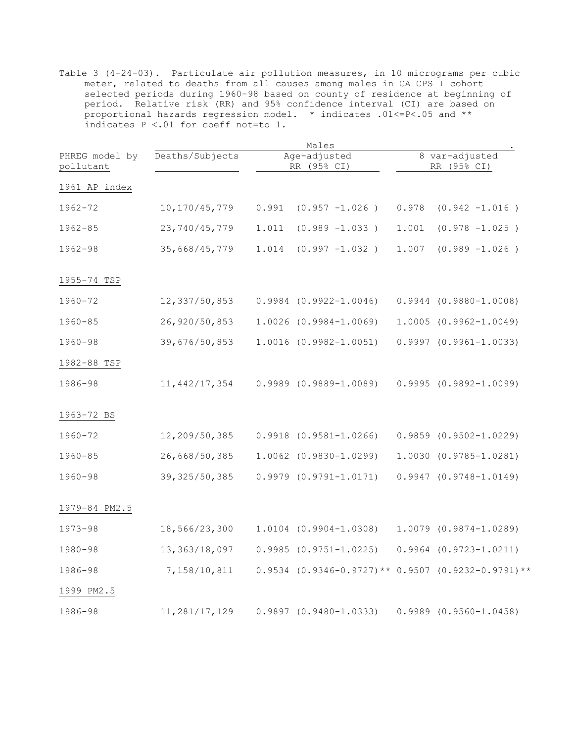|                             |                 |       | Males                                                     |       |                               |
|-----------------------------|-----------------|-------|-----------------------------------------------------------|-------|-------------------------------|
| PHREG model by<br>pollutant | Deaths/Subjects |       | Age-adjusted<br>RR (95% CI)                               |       | 8 var-adjusted<br>RR (95% CI) |
| 1961 AP index               |                 |       |                                                           |       |                               |
| 1962-72                     | 10, 170/45, 779 | 0.991 | $(0.957 -1.026)$                                          | 0.978 | $(0.942 -1.016)$              |
| $1962 - 85$                 | 23, 740/45, 779 | 1.011 | $(0.989 -1.033)$                                          | 1.001 | $(0.978 -1.025)$              |
| $1962 - 98$                 | 35,668/45,779   | 1.014 | $(0.997 -1.032)$                                          | 1.007 | $(0.989 -1.026)$              |
| 1955-74 TSP                 |                 |       |                                                           |       |                               |
| 1960-72                     | 12,337/50,853   |       | $0.9984$ $(0.9922 - 1.0046)$                              |       | $0.9944 (0.9880 - 1.0008)$    |
| $1960 - 85$                 | 26, 920/50, 853 |       | $1.0026$ $(0.9984-1.0069)$                                |       | $1.0005$ $(0.9962 - 1.0049)$  |
| $1960 - 98$                 | 39,676/50,853   |       | $1.0016 (0.9982 - 1.0051)$                                |       | $0.9997$ $(0.9961 - 1.0033)$  |
| 1982-88 TSP                 |                 |       |                                                           |       |                               |
| 1986-98                     | 11, 442/17, 354 |       | $0.9989$ $(0.9889 - 1.0089)$                              |       | $0.9995 (0.9892 - 1.0099)$    |
| 1963-72 BS                  |                 |       |                                                           |       |                               |
| 1960-72                     | 12,209/50,385   |       | $0.9918$ $(0.9581 - 1.0266)$                              |       | $0.9859$ $(0.9502 - 1.0229)$  |
| $1960 - 85$                 | 26,668/50,385   |       | $1.0062$ $(0.9830-1.0299)$                                |       | 1.0030 (0.9785-1.0281)        |
| $1960 - 98$                 | 39, 325/50, 385 |       | $0.9979$ $(0.9791 - 1.0171)$                              |       | $0.9947$ $(0.9748 - 1.0149)$  |
| 1979-84 PM2.5               |                 |       |                                                           |       |                               |
| $1973 - 98$                 | 18,566/23,300   |       | $1.0104$ $(0.9904-1.0308)$                                |       | $1.0079$ $(0.9874 - 1.0289)$  |
| 1980-98                     | 13, 363/18, 097 |       | $0.9985$ $(0.9751 - 1.0225)$                              |       | $0.9964$ $(0.9723 - 1.0211)$  |
| 1986-98                     | 7,158/10,811    |       | $0.9534$ $(0.9346-0.9727)$ ** 0.9507 $(0.9232-0.9791)$ ** |       |                               |
| 1999 PM2.5                  |                 |       |                                                           |       |                               |
| 1986-98                     | 11,281/17,129   |       | $0.9897$ $(0.9480 - 1.0333)$                              |       | $0.9989$ $(0.9560 - 1.0458)$  |

 Table 3 (4-24-03). Particulate air pollution measures, in 10 micrograms per cubic meter, related to deaths from all causes among males in CA CPS I cohort selected periods during 1960-98 based on county of residence at beginning of period. Relative risk (RR) and 95% confidence interval (CI) are based on proportional hazards regression model. \* indicates .01<=P<.05 and \*\* indicates P <.01 for coeff not=to 1.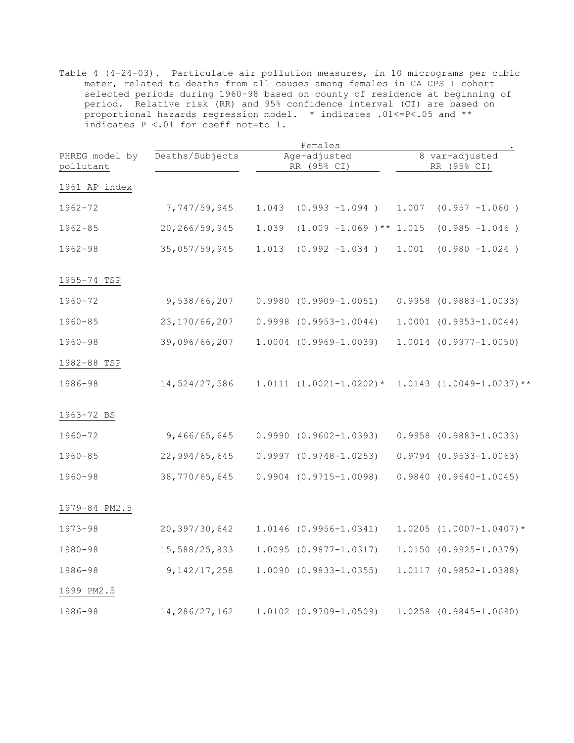|                             |                 | Females |                              |                               |                                |  |  |  |
|-----------------------------|-----------------|---------|------------------------------|-------------------------------|--------------------------------|--|--|--|
| PHREG model by<br>pollutant | Deaths/Subjects |         | Age-adjusted<br>RR (95% CI)  | 8 var-adjusted<br>RR (95% CI) |                                |  |  |  |
| 1961 AP index               |                 |         |                              |                               |                                |  |  |  |
| 1962-72                     | 7,747/59,945    | 1.043   | $(0.993 -1.094)$             | 1.007                         | $(0.957 -1.060)$               |  |  |  |
| $1962 - 85$                 | 20, 266/59, 945 | 1.039   | $(1.009 - 1.069)$ ** 1.015   |                               | $(0.985 -1.046)$               |  |  |  |
| $1962 - 98$                 | 35,057/59,945   | 1.013   | $(0.992 -1.034)$             | 1.001                         | $(0.980 -1.024)$               |  |  |  |
| 1955-74 TSP                 |                 |         |                              |                               |                                |  |  |  |
| 1960-72                     | 9,538/66,207    |         | $0.9980 (0.9909 - 1.0051)$   |                               | $0.9958$ $(0.9883 - 1.0033)$   |  |  |  |
| $1960 - 85$                 | 23, 170/66, 207 |         | $0.9998$ $(0.9953 - 1.0044)$ |                               | $1.0001$ $(0.9953 - 1.0044)$   |  |  |  |
| $1960 - 98$                 | 39,096/66,207   |         | $1.0004$ $(0.9969-1.0039)$   |                               | $1.0014 (0.9977 - 1.0050)$     |  |  |  |
| 1982-88 TSP                 |                 |         |                              |                               |                                |  |  |  |
| 1986-98                     | 14,524/27,586   |         | $1.0111 (1.0021 - 1.0202)$ * |                               | $1.0143$ $(1.0049-1.0237)**$   |  |  |  |
| 1963-72 BS                  |                 |         |                              |                               |                                |  |  |  |
| 1960-72                     | 9,466/65,645    |         | $0.9990 (0.9602 - 1.0393)$   |                               | $0.9958$ $(0.9883 - 1.0033)$   |  |  |  |
| $1960 - 85$                 | 22,994/65,645   |         | $0.9997$ $(0.9748 - 1.0253)$ |                               | $0.9794$ $(0.9533 - 1.0063)$   |  |  |  |
| $1960 - 98$                 | 38,770/65,645   |         | $0.9904$ $(0.9715 - 1.0098)$ |                               | $0.9840 (0.9640 - 1.0045)$     |  |  |  |
| 1979-84 PM2.5               |                 |         |                              |                               |                                |  |  |  |
| $1973 - 98$                 | 20,397/30,642   |         | 1.0146 (0.9956-1.0341)       |                               | $1.0205$ $(1.0007 - 1.0407)$ * |  |  |  |
| 1980-98                     | 15,588/25,833   |         | $1.0095$ $(0.9877 - 1.0317)$ |                               | 1.0150 (0.9925-1.0379)         |  |  |  |
| 1986-98                     | 9, 142/17, 258  |         | $1.0090(0.9833 - 1.0355)$    |                               | $1.0117(0.9852 - 1.0388)$      |  |  |  |
| 1999 PM2.5                  |                 |         |                              |                               |                                |  |  |  |
| 1986-98                     | 14, 286/27, 162 |         | $1.0102$ $(0.9709-1.0509)$   |                               | $1.0258$ $(0.9845 - 1.0690)$   |  |  |  |

 Table 4 (4-24-03). Particulate air pollution measures, in 10 micrograms per cubic meter, related to deaths from all causes among females in CA CPS I cohort selected periods during 1960-98 based on county of residence at beginning of period. Relative risk (RR) and 95% confidence interval (CI) are based on proportional hazards regression model. \* indicates .01<=P<.05 and \*\* indicates P <.01 for coeff not=to 1.